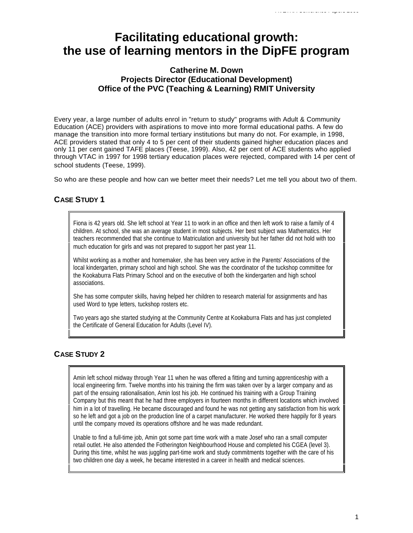# **Facilitating educational growth: the use of learning mentors in the DipFE program**

# **Catherine M. Down Projects Director (Educational Development) Office of the PVC (Teaching & Learning) RMIT University**

Every year, a large number of adults enrol in "return to study" programs with Adult & Community Education (ACE) providers with aspirations to move into more formal educational paths. A few do manage the transition into more formal tertiary institutions but many do not. For example, in 1998, ACE providers stated that only 4 to 5 per cent of their students gained higher education places and only 11 per cent gained TAFE places (Teese, 1999). Also, 42 per cent of ACE students who applied through VTAC in 1997 for 1998 tertiary education places were rejected, compared with 14 per cent of school students (Teese, 1999).

So who are these people and how can we better meet their needs? Let me tell you about two of them.

# **CASE STUDY 1**

Fiona is 42 years old. She left school at Year 11 to work in an office and then left work to raise a family of 4 children. At school, she was an average student in most subjects. Her best subject was Mathematics. Her teachers recommended that she continue to Matriculation and university but her father did not hold with too much education for girls and was not prepared to support her past year 11.

Whilst working as a mother and homemaker, she has been very active in the Parents' Associations of the local kindergarten, primary school and high school. She was the coordinator of the tuckshop committee for the Kookaburra Flats Primary School and on the executive of both the kindergarten and high school associations.

She has some computer skills, having helped her children to research material for assignments and has used Word to type letters, tuckshop rosters etc.

Two years ago she started studying at the Community Centre at Kookaburra Flats and has just completed the Certificate of General Education for Adults (Level IV).

# **CASE STUDY 2**

Amin left school midway through Year 11 when he was offered a fitting and turning apprenticeship with a local engineering firm. Twelve months into his training the firm was taken over by a larger company and as part of the ensuing rationalisation, Amin lost his job. He continued his training with a Group Training Company but this meant that he had three employers in fourteen months in different locations which involved him in a lot of travelling. He became discouraged and found he was not getting any satisfaction from his work so he left and got a job on the production line of a carpet manufacturer. He worked there happily for 8 years until the company moved its operations offshore and he was made redundant.

Unable to find a full-time job, Amin got some part time work with a mate Josef who ran a small computer retail outlet. He also attended the Fotherington Neighbourhood House and completed his CGEA (level 3). During this time, whilst he was juggling part-time work and study commitments together with the care of his two children one day a week, he became interested in a career in health and medical sciences.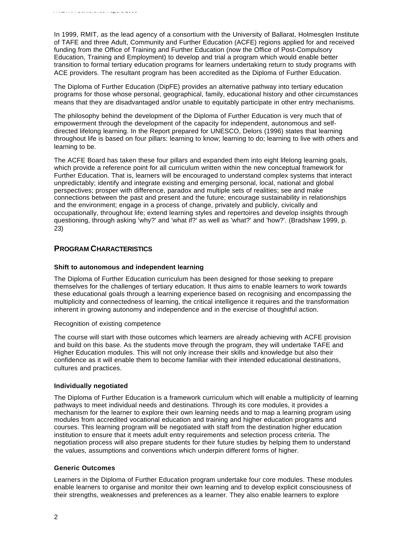In 1999, RMIT, as the lead agency of a consortium with the University of Ballarat, Holmesglen Institute of TAFE and three Adult, Community and Further Education (ACFE) regions applied for and received funding from the Office of Training and Further Education (now the Office of Post-Compulsory Education, Training and Employment) to develop and trial a program which would enable better transition to formal tertiary education programs for learners undertaking return to study programs with ACE providers. The resultant program has been accredited as the Diploma of Further Education.

The Diploma of Further Education (DipFE) provides an alternative pathway into tertiary education programs for those whose personal, geographical, family, educational history and other circumstances means that they are disadvantaged and/or unable to equitably participate in other entry mechanisms.

The philosophy behind the development of the Diploma of Further Education is very much that of empowerment through the development of the capacity for independent, autonomous and selfdirected lifelong learning. In the Report prepared for UNESCO, Delors (1996) states that learning throughout life is based on four pillars: learning to know; learning to do; learning to live with others and learning to be.

The ACFE Board has taken these four pillars and expanded them into eight lifelong learning goals, which provide a reference point for all curriculum written within the new conceptual framework for Further Education. That is, learners will be encouraged to understand complex systems that interact unpredictably; identify and integrate existing and emerging personal, local, national and global perspectives; prosper with difference, paradox and multiple sets of realities; see and make connections between the past and present and the future; encourage sustainability in relationships and the environment; engage in a process of change, privately and publicly, civically and occupationally, throughout life; extend learning styles and repertoires and develop insights through questioning, through asking 'why?' and 'what if?' as well as 'what?' and 'how?'. (Bradshaw 1999, p. 23)

# **PROGRAM CHARACTERISTICS**

*AVETRA Conference Papers 2000*

#### **Shift to autonomous and independent learning**

The Diploma of Further Education curriculum has been designed for those seeking to prepare themselves for the challenges of tertiary education. It thus aims to enable learners to work towards these educational goals through a learning experience based on recognising and encompassing the multiplicity and connectedness of learning, the critical intelligence it requires and the transformation inherent in growing autonomy and independence and in the exercise of thoughtful action.

#### Recognition of existing competence

The course will start with those outcomes which learners are already achieving with ACFE provision and build on this base. As the students move through the program, they will undertake TAFE and Higher Education modules. This will not only increase their skills and knowledge but also their confidence as it will enable them to become familiar with their intended educational destinations, cultures and practices.

## **Individually negotiated**

The Diploma of Further Education is a framework curriculum which will enable a multiplicity of learning pathways to meet individual needs and destinations. Through its core modules, it provides a mechanism for the learner to explore their own learning needs and to map a learning program using modules from accredited vocational education and training and higher education programs and courses. This learning program will be negotiated with staff from the destination higher education institution to ensure that it meets adult entry requirements and selection process criteria. The negotiation process will also prepare students for their future studies by helping them to understand the values, assumptions and conventions which underpin different forms of higher.

#### **Generic Outcomes**

Learners in the Diploma of Further Education program undertake four core modules. These modules enable learners to organise and monitor their own learning and to develop explicit consciousness of their strengths, weaknesses and preferences as a learner. They also enable learners to explore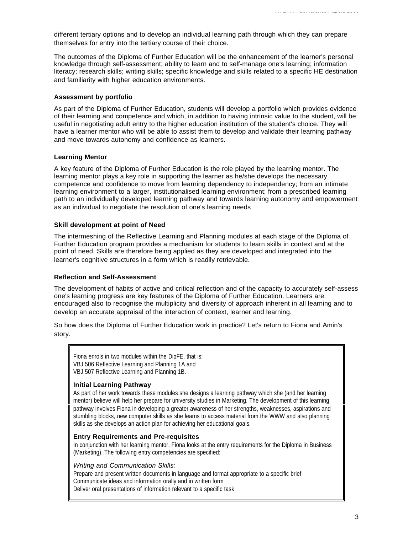different tertiary options and to develop an individual learning path through which they can prepare themselves for entry into the tertiary course of their choice.

The outcomes of the Diploma of Further Education will be the enhancement of the learner's personal knowledge through self-assessment; ability to learn and to self-manage one's learning; information literacy; research skills; writing skills; specific knowledge and skills related to a specific HE destination and familiarity with higher education environments.

#### **Assessment by portfolio**

As part of the Diploma of Further Education, students will develop a portfolio which provides evidence of their learning and competence and which, in addition to having intrinsic value to the student, will be useful in negotiating adult entry to the higher education institution of the student's choice. They will have a learner mentor who will be able to assist them to develop and validate their learning pathway and move towards autonomy and confidence as learners.

#### **Learning Mentor**

A key feature of the Diploma of Further Education is the role played by the learning mentor. The learning mentor plays a key role in supporting the learner as he/she develops the necessary competence and confidence to move from learning dependency to independency; from an intimate learning environment to a larger, institutionalised learning environment; from a prescribed learning path to an individually developed learning pathway and towards learning autonomy and empowerment as an individual to negotiate the resolution of one's learning needs

#### **Skill development at point of Need**

The intermeshing of the Reflective Learning and Planning modules at each stage of the Diploma of Further Education program provides a mechanism for students to learn skills in context and at the point of need. Skills are therefore being applied as they are developed and integrated into the learner's cognitive structures in a form which is readily retrievable.

#### **Reflection and Self-Assessment**

The development of habits of active and critical reflection and of the capacity to accurately self-assess one's learning progress are key features of the Diploma of Further Education. Learners are encouraged also to recognise the multiplicity and diversity of approach inherent in all learning and to develop an accurate appraisal of the interaction of context, learner and learning.

So how does the Diploma of Further Education work in practice? Let's return to Fiona and Amin's story.

Fiona enrols in two modules within the DipFE, that is: VBJ 506 Reflective Learning and Planning 1A and VBJ 507 Reflective Learning and Planning 1B.

#### **Initial Learning Pathway**

As part of her work towards these modules she designs a learning pathway which she (and her learning mentor) believe will help her prepare for university studies in Marketing. The development of this learning pathway involves Fiona in developing a greater awareness of her strengths, weaknesses, aspirations and stumbling blocks, new computer skills as she learns to access material from the WWW and also planning skills as she develops an action plan for achieving her educational goals.

#### **Entry Requirements and Pre-requisites**

In conjunction with her learning mentor, Fiona looks at the entry requirements for the Diploma in Business (Marketing). The following entry competencies are specified:

#### *Writing and Communication Skills:*

Prepare and present written documents in language and format appropriate to a specific brief Communicate ideas and information orally and in written form Deliver oral presentations of information relevant to a specific task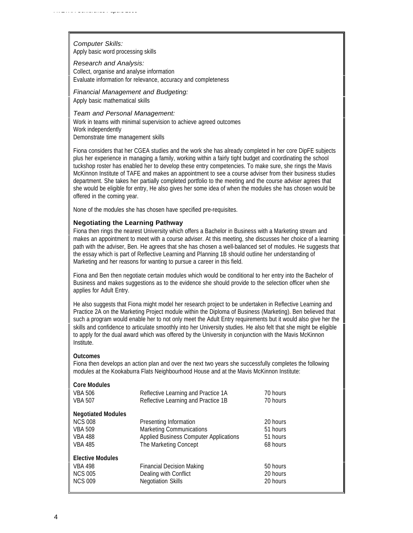*Computer Skills:* Apply basic word processing skills

*Research and Analysis:*

Collect, organise and analyse information Evaluate information for relevance, accuracy and completeness

*Financial Management and Budgeting:* Apply basic mathematical skills

*Team and Personal Management:* Work in teams with minimal supervision to achieve agreed outcomes Work independently Demonstrate time management skills

Fiona considers that her CGEA studies and the work she has already completed in her core DipFE subjects plus her experience in managing a family, working within a fairly tight budget and coordinating the school tuckshop roster has enabled her to develop these entry competencies. To make sure, she rings the Mavis McKinnon Institute of TAFE and makes an appointment to see a course adviser from their business studies department. She takes her partially completed portfolio to the meeting and the course adviser agrees that she would be eligible for entry, He also gives her some idea of when the modules she has chosen would be offered in the coming year.

None of the modules she has chosen have specified pre-requisites.

## **Negotiating the Learning Pathway**

Fiona then rings the nearest University which offers a Bachelor in Business with a Marketing stream and makes an appointment to meet with a course adviser. At this meeting, she discusses her choice of a learning path with the adviser, Ben. He agrees that she has chosen a well-balanced set of modules. He suggests that the essay which is part of Reflective Learning and Planning 1B should outline her understanding of Marketing and her reasons for wanting to pursue a career in this field.

Fiona and Ben then negotiate certain modules which would be conditional to her entry into the Bachelor of Business and makes suggestions as to the evidence she should provide to the selection officer when she applies for Adult Entry.

He also suggests that Fiona might model her research project to be undertaken in Reflective Learning and Practice 2A on the Marketing Project module within the Diploma of Business (Marketing). Ben believed that such a program would enable her to not only meet the Adult Entry requirements but it would also give her the skills and confidence to articulate smoothly into her University studies. He also felt that she might be eligible to apply for the dual award which was offered by the University in conjunction with the Mavis McKinnon Institute.

#### **Outcomes**

Fiona then develops an action plan and over the next two years she successfully completes the following modules at the Kookaburra Flats Neighbourhood House and at the Mavis McKinnon Institute:

| <b>Core Modules</b>       |                                               |          |
|---------------------------|-----------------------------------------------|----------|
| <b>VBA 506</b>            | Reflective Learning and Practice 1A           | 70 hours |
| <b>VBA 507</b>            | Reflective Learning and Practice 1B           | 70 hours |
| <b>Negotiated Modules</b> |                                               |          |
| <b>NCS 008</b>            | Presenting Information                        | 20 hours |
| <b>VBA 509</b>            | Marketing Communications                      | 51 hours |
| <b>VBA 488</b>            | <b>Applied Business Computer Applications</b> | 51 hours |
| <b>VBA 485</b>            | The Marketing Concept                         | 68 hours |
| <b>Elective Modules</b>   |                                               |          |
| <b>VBA 498</b>            | <b>Financial Decision Making</b>              | 50 hours |
| <b>NCS 005</b>            | Dealing with Conflict                         | 20 hours |
| <b>NCS 009</b>            | <b>Negotiation Skills</b>                     | 20 hours |
|                           |                                               |          |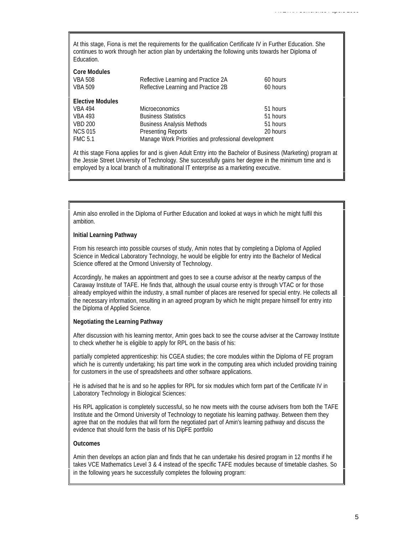At this stage, Fiona is met the requirements for the qualification Certificate IV in Further Education. She continues to work through her action plan by undertaking the following units towards her Diploma of Education.

| <b>Core Modules</b><br><b>VBA 508</b><br><b>VBA 509</b> | Reflective Learning and Practice 2A<br>Reflective Learning and Practice 2B | 60 hours<br>60 hours |  |
|---------------------------------------------------------|----------------------------------------------------------------------------|----------------------|--|
| <b>Elective Modules</b>                                 |                                                                            |                      |  |
| <b>VBA 494</b>                                          | <b>Microeconomics</b>                                                      | 51 hours             |  |
| <b>VBA 493</b>                                          | <b>Business Statistics</b>                                                 | 51 hours             |  |
| <b>VBD 200</b>                                          | <b>Business Analysis Methods</b>                                           | 51 hours             |  |
| <b>NCS 015</b>                                          | <b>Presenting Reports</b>                                                  | 20 hours             |  |
| <b>FMC 5.1</b>                                          | Manage Work Priorities and professional development                        |                      |  |

At this stage Fiona applies for and is given Adult Entry into the Bachelor of Business (Marketing) program at the Jessie Street University of Technology. She successfully gains her degree in the minimum time and is employed by a local branch of a multinational IT enterprise as a marketing executive.

Amin also enrolled in the Diploma of Further Education and looked at ways in which he might fulfil this ambition.

#### **Initial Learning Pathway**

From his research into possible courses of study, Amin notes that by completing a Diploma of Applied Science in Medical Laboratory Technology, he would be eligible for entry into the Bachelor of Medical Science offered at the Ormond University of Technology.

Accordingly, he makes an appointment and goes to see a course advisor at the nearby campus of the Caraway Institute of TAFE. He finds that, although the usual course entry is through VTAC or for those already employed within the industry, a small number of places are reserved for special entry. He collects all the necessary information, resulting in an agreed program by which he might prepare himself for entry into the Diploma of Applied Science.

#### **Negotiating the Learning Pathway**

After discussion with his learning mentor, Amin goes back to see the course adviser at the Carroway Institute to check whether he is eligible to apply for RPL on the basis of his:

partially completed apprenticeship: his CGEA studies; the core modules within the Diploma of FE program which he is currently undertaking; his part time work in the computing area which included providing training for customers in the use of spreadsheets and other software applications.

He is advised that he is and so he applies for RPL for six modules which form part of the Certificate IV in Laboratory Technology in Biological Sciences:

His RPL application is completely successful, so he now meets with the course advisers from both the TAFE Institute and the Ormond University of Technology to negotiate his learning pathway. Between them they agree that on the modules that will form the negotiated part of Amin's learning pathway and discuss the evidence that should form the basis of his DipFE portfolio

#### **Outcomes**

Amin then develops an action plan and finds that he can undertake his desired program in 12 months if he takes VCE Mathematics Level 3 & 4 instead of the specific TAFE modules because of timetable clashes. So in the following years he successfully completes the following program: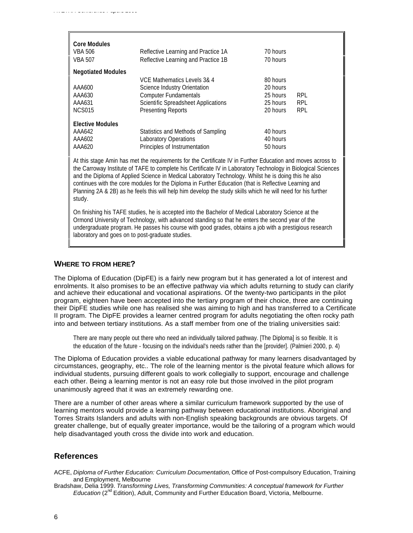| <b>Core Modules</b><br><b>VBA 506</b><br>VBA 507                                                                                                                                                                                                                                                                                                                                                                                                                                                                                                                        | Reflective Learning and Practice 1A<br>Reflective Learning and Practice 1B | 70 hours<br>70 hours |            |  |  |
|-------------------------------------------------------------------------------------------------------------------------------------------------------------------------------------------------------------------------------------------------------------------------------------------------------------------------------------------------------------------------------------------------------------------------------------------------------------------------------------------------------------------------------------------------------------------------|----------------------------------------------------------------------------|----------------------|------------|--|--|
| <b>Negotiated Modules</b>                                                                                                                                                                                                                                                                                                                                                                                                                                                                                                                                               |                                                                            |                      |            |  |  |
|                                                                                                                                                                                                                                                                                                                                                                                                                                                                                                                                                                         | VCE Mathematics Levels 3& 4                                                | 80 hours             |            |  |  |
| AAA600                                                                                                                                                                                                                                                                                                                                                                                                                                                                                                                                                                  | Science Industry Orientation                                               | 20 hours             |            |  |  |
| AAA630                                                                                                                                                                                                                                                                                                                                                                                                                                                                                                                                                                  | <b>Computer Fundamentals</b>                                               | 25 hours             | <b>RPL</b> |  |  |
| AAA631                                                                                                                                                                                                                                                                                                                                                                                                                                                                                                                                                                  | <b>Scientific Spreadsheet Applications</b>                                 | 25 hours             | <b>RPL</b> |  |  |
| <b>NCS015</b>                                                                                                                                                                                                                                                                                                                                                                                                                                                                                                                                                           | <b>Presenting Reports</b>                                                  | 20 hours             | <b>RPL</b> |  |  |
| <b>Elective Modules</b>                                                                                                                                                                                                                                                                                                                                                                                                                                                                                                                                                 |                                                                            |                      |            |  |  |
| AAA642                                                                                                                                                                                                                                                                                                                                                                                                                                                                                                                                                                  | Statistics and Methods of Sampling                                         | 40 hours             |            |  |  |
| AAA602                                                                                                                                                                                                                                                                                                                                                                                                                                                                                                                                                                  | Laboratory Operations                                                      | 40 hours             |            |  |  |
| AAA620                                                                                                                                                                                                                                                                                                                                                                                                                                                                                                                                                                  | Principles of Instrumentation                                              | 50 hours             |            |  |  |
| At this stage Amin has met the requirements for the Certificate IV in Further Education and moves across to<br>the Carroway Institute of TAFE to complete his Certificate IV in Laboratory Technology in Biological Sciences<br>and the Diploma of Applied Science in Medical Laboratory Technology. Whilst he is doing this he also<br>continues with the core modules for the Diploma in Further Education (that is Reflective Learning and<br>Planning 2A & 2B) as he feels this will help him develop the study skills which he will need for his further<br>study. |                                                                            |                      |            |  |  |

On finishing his TAFE studies, he is accepted into the Bachelor of Medical Laboratory Science at the Ormond University of Technology, with advanced standing so that he enters the second year of the undergraduate program. He passes his course with good grades, obtains a job with a prestigious research laboratory and goes on to post-graduate studies.

### **WHERE TO FROM HERE?**

*AVETRA Conference Papers 2000*

The Diploma of Education (DipFE) is a fairly new program but it has generated a lot of interest and enrolments. It also promises to be an effective pathway via which adults returning to study can clarify and achieve their educational and vocational aspirations. Of the twenty-two participants in the pilot program, eighteen have been accepted into the tertiary program of their choice, three are continuing their DipFE studies while one has realised she was aiming to high and has transferred to a Certificate II program. The DipFE provides a learner centred program for adults negotiating the often rocky path into and between tertiary institutions. As a staff member from one of the trialing universities said:

There are many people out there who need an individually tailored pathway. [The Diploma] is so flexible. It is the education of the future - focusing on the individual's needs rather than the [provider]. (Palmieri 2000, p. 4)

The Diploma of Education provides a viable educational pathway for many learners disadvantaged by circumstances, geography, etc.. The role of the learning mentor is the pivotal feature which allows for individual students, pursuing different goals to work collegially to support, encourage and challenge each other. Being a learning mentor is not an easy role but those involved in the pilot program unanimously agreed that it was an extremely rewarding one.

There are a number of other areas where a similar curriculum framework supported by the use of learning mentors would provide a learning pathway between educational institutions. Aboriginal and Torres Straits Islanders and adults with non-English speaking backgrounds are obvious targets. Of greater challenge, but of equally greater importance, would be the tailoring of a program which would help disadvantaged youth cross the divide into work and education.

## **References**

- ACFE, *Diploma of Further Education: Curriculum Documentation,* Office of Post-compulsory Education, Training and Employment, Melbourne
- Bradshaw, Delia 1999. *Transforming Lives, Transforming Communities: A conceptual framework for Further Education* (2<sup>nd</sup> Edition), Adult, Community and Further Education Board, Victoria, Melbourne.